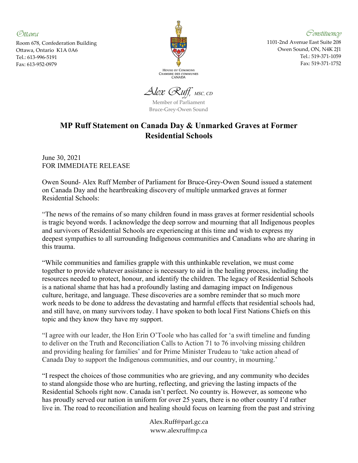Ottawa

Room 678, Confederation Building Ottawa, Ontario K1A 0A6 Tel.: 613-996-5191 Fax: 613-952-0979



Constituency

1101-2nd Avenue East Suite 208 Owen Sound, ON, N4K 2J1 Tel.: 519-371-1059 Fax: 519-371-1752

Alex Ruff, MSC, CD

Member of Parliament Bruce-Grey-Owen Sound

## MP Ruff Statement on Canada Day & Unmarked Graves at Former Residential Schools

June 30, 2021 FOR IMMEDIATE RELEASE

Owen Sound- Alex Ruff Member of Parliament for Bruce-Grey-Owen Sound issued a statement on Canada Day and the heartbreaking discovery of multiple unmarked graves at former Residential Schools:

"The news of the remains of so many children found in mass graves at former residential schools is tragic beyond words. I acknowledge the deep sorrow and mourning that all Indigenous peoples and survivors of Residential Schools are experiencing at this time and wish to express my deepest sympathies to all surrounding Indigenous communities and Canadians who are sharing in this trauma.

"While communities and families grapple with this unthinkable revelation, we must come together to provide whatever assistance is necessary to aid in the healing process, including the resources needed to protect, honour, and identify the children. The legacy of Residential Schools is a national shame that has had a profoundly lasting and damaging impact on Indigenous culture, heritage, and language. These discoveries are a sombre reminder that so much more work needs to be done to address the devastating and harmful effects that residential schools had, and still have, on many survivors today. I have spoken to both local First Nations Chiefs on this topic and they know they have my support.

"I agree with our leader, the Hon Erin O'Toole who has called for 'a swift timeline and funding to deliver on the Truth and Reconciliation Calls to Action 71 to 76 involving missing children and providing healing for families' and for Prime Minister Trudeau to 'take action ahead of Canada Day to support the Indigenous communities, and our country, in mourning.'

"I respect the choices of those communities who are grieving, and any community who decides to stand alongside those who are hurting, reflecting, and grieving the lasting impacts of the Residential Schools right now. Canada isn't perfect. No country is. However, as someone who has proudly served our nation in uniform for over 25 years, there is no other country I'd rather live in. The road to reconciliation and healing should focus on learning from the past and striving

> Alex.Ruff@parl.gc.ca www.alexruffmp.ca